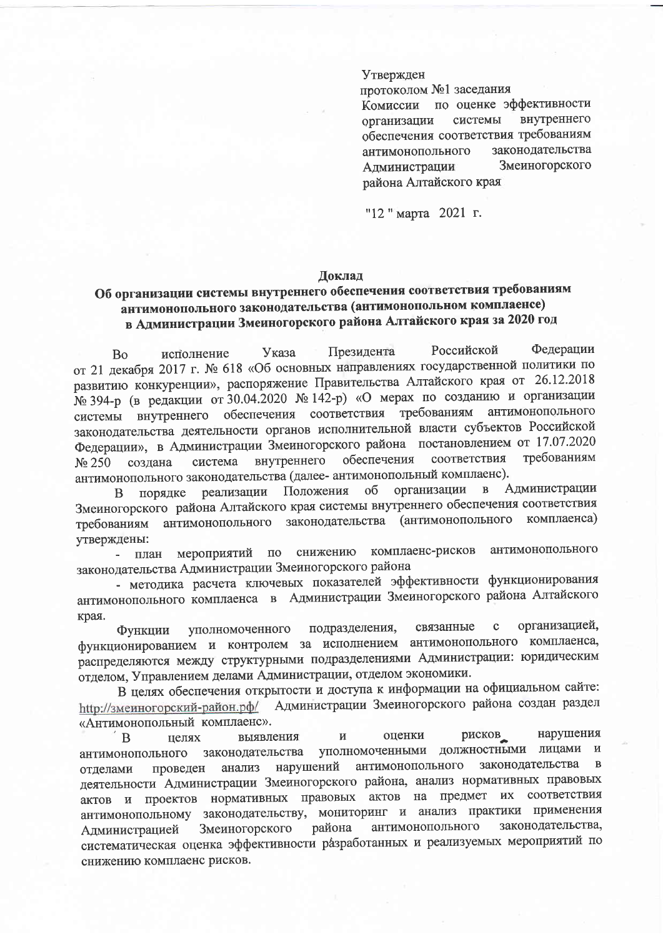## Утвержден

протоколом №1 заседания

Комиссии по оценке эффективности внутреннего системы организации обеспечения соответствия требованиям законодательства антимонопольного Змеиногорского Администрации района Алтайского края

"12 "марта 2021 г.

## Доклад

## Об организации системы внутреннего обеспечения соответствия требованиям антимонопольного законодательства (антимонопольном комплаенсе) в Администрации Змеиногорского района Алтайского края за 2020 год

Фелерации Президента Российской Указа исполнение **Bo** от 21 декабря 2017 г. № 618 «Об основных направлениях государственной политики по развитию конкуренции», распоряжение Правительства Алтайского края от 26.12.2018 № 394-р (в редакции от 30.04.2020 № 142-р) «О мерах по созданию и организации системы внутреннего обеспечения соответствия требованиям антимонопольного законодательства деятельности органов исполнительной власти субъектов Российской Федерации», в Администрации Змеиногорского района постановлением от 17.07.2020 требованиям соответствия внутреннего обеспечения система создана No 250 антимонопольного законодательства (далее- антимонопольный комплаенс).

Администрации организации  $\mathbf{B}$ Положения об порядке реализации B Змеиногорского района Алтайского края системы внутреннего обеспечения соответствия антимонопольного законодательства (антимонопольного комплаенса) требованиям утверждены:

комплаенс-рисков антимонопольного план мероприятий по снижению законодательства Администрации Змеиногорского района

- методика расчета ключевых показателей эффективности функционирования антимонопольного комплаенса в Администрации Змеиногорского района Алтайского края.

связанные  $\mathbf c$ организацией, подразделения, уполномоченного Функции функционированием и контролем за исполнением антимонопольного комплаенса, распределяются между структурными подразделениями Администрации: юридическим отделом, Управлением делами Администрации, отделом экономики.

В целях обеспечения открытости и доступа к информации на официальном сайте: Администрации Змеиногорского района создан раздел http://змеиногорский-район.pф/ «Антимонопольный комплаенс».

рисков нарушения выявления оценки  $\mathbf{M}$ <sub>B</sub> целях уполномоченными должностными лицами  $\mathbf{M}$ законодательства антимонопольного законодательства  $\mathbf{B}$ антимонопольного анализ нарушений проведен отделами деятельности Администрации Змеиногорского района, анализ нормативных правовых актов и проектов нормативных правовых актов на предмет их соответствия антимонопольному законодательству, мониторинг и анализ практики применения законодательства, района антимонопольного Змеиногорского Алминистрацией систематическая оценка эффективности разработанных и реализуемых мероприятий по снижению комплаенс рисков.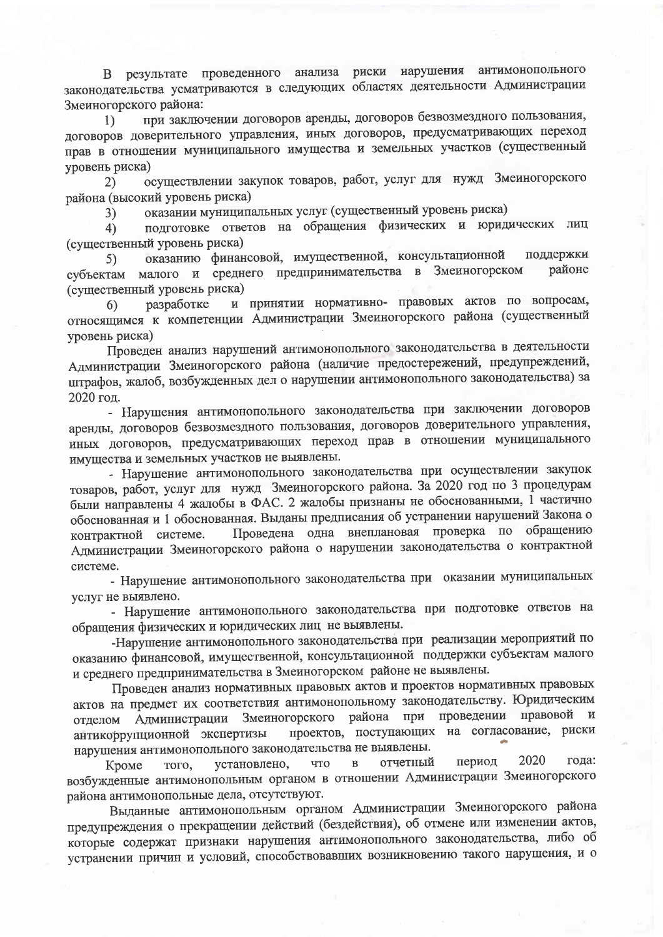В результате проведенного анализа риски нарушения антимонопольного законодательства усматриваются в следующих областях деятельности Администрации Змеиногорского района:

при заключении договоров аренды, договоров безвозмездного пользования,  $\left\{ \right\}$ договоров доверительного управления, иных договоров, предусматривающих переход прав в отношении муниципального имущества и земельных участков (существенный уровень риска)

осуществлении закупок товаров, работ, услуг для нужд Змеиногорского  $(2)$ района (высокий уровень риска)

оказании муниципальных услуг (существенный уровень риска)  $3)$ 

подготовке ответов на обращения физических и юридических лиц  $4)$ (существенный уровень риска)

оказанию финансовой, имущественной, консультационной поддержки 5) малого и среднего предпринимательства в Змеиногорском районе субъектам (существенный уровень риска)

и принятии нормативно- правовых актов по вопросам, разработке 6) относящимся к компетенции Администрации Змеиногорского района (существенный уровень риска)

Проведен анализ нарушений антимонопольного законодательства в деятельности Администрации Змеиногорского района (наличие предостережений, предупреждений, штрафов, жалоб, возбужденных дел о нарушении антимонопольного законодательства) за 2020 год.

- Нарушения антимонопольного законодательства при заключении договоров аренды, договоров безвозмездного пользования, договоров доверительного управления, иных договоров, предусматривающих переход прав в отношении муниципального имущества и земельных участков не выявлены.

- Нарушение антимонопольного законодательства при осуществлении закупок товаров, работ, услуг для нужд Змеиногорского района. За 2020 год по 3 процедурам были направлены 4 жалобы в ФАС. 2 жалобы признаны не обоснованными, 1 частично обоснованная и 1 обоснованная. Выданы предписания об устранении нарушений Закона о Проведена одна внеплановая проверка по обращению контрактной системе. Администрации Змеиногорского района о нарушении законодательства о контрактной системе.

- Нарушение антимонопольного законодательства при оказании муниципальных услуг не выявлено.

- Нарушение антимонопольного законодательства при подготовке ответов на обращения физических и юридических лиц не выявлены.

-Нарушение антимонопольного законодательства при реализации мероприятий по оказанию финансовой, имущественной, консультационной поддержки субъектам малого и среднего предпринимательства в Змеиногорском районе не выявлены.

Проведен анализ нормативных правовых актов и проектов нормативных правовых актов на предмет их соответствия антимонопольному законодательству. Юридическим Змеиногорского района при проведении правовой  $\mathbf{M}$ отделом Администрации проектов, поступающих на согласование, риски антикоррупционной экспертизы нарушения антимонопольного законодательства не выявлены.

2020 года: период отчетный установлено, **что**  $\, {\bf B}$ Кроме того, возбужденные антимонопольным органом в отношении Администрации Змеиногорского района антимонопольные дела, отсутствуют.

Выданные антимонопольным органом Администрации Змеиногорского района предупреждения о прекращении действий (бездействия), об отмене или изменении актов, которые содержат признаки нарушения антимонопольного законодательства, либо об устранении причин и условий, способствовавших возникновению такого нарушения, и о